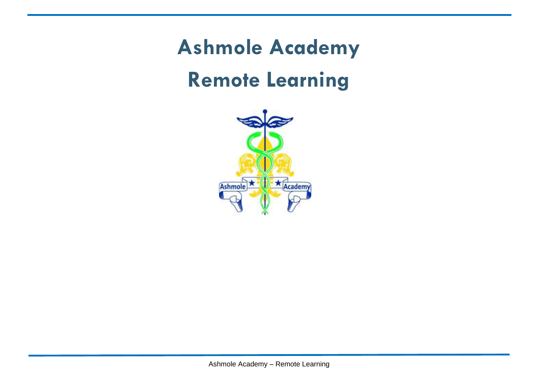# **Ashmole Academy Remote Learning**

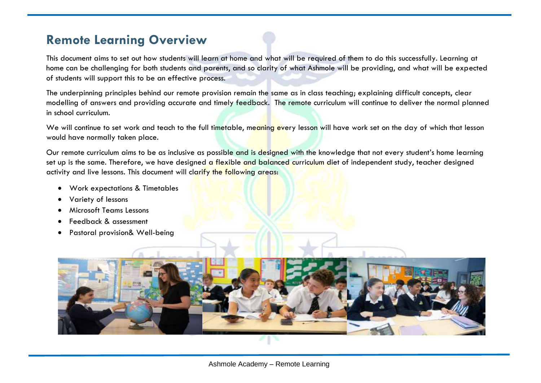### **Remote Learning Overview**

This document aims to set out how students will learn at home and what will be required of them to do this successfully. Learning at home can be challenging for both students and parents, and so clarity of what Ashmole will be providing, and what will be expected of students will support this to be an effective process.

The underpinning principles behind our remote provision remain the same as in class teaching; explaining difficult concepts, clear modelling of answers and providing accurate and timely feedback. The remote curriculum will continue to deliver the normal planned in school curriculum.

We will continue to set work and teach to the full timetable, meaning every lesson will have work set on the day of which that lesson would have normally taken place.

Our remote curriculum aims to be as inclusive as possible and is designed with the knowledge that not every student's home learning set up is the same. Therefore, we have designed a flexible and balanced curriculum diet of independent study, teacher designed activity and live lessons. This document will clarify the following areas:

- Work expectations & Timetables
- Variety of lessons
- Microsoft Teams Lessons
- Feedback & assessment
- Pastoral provision& Well-being

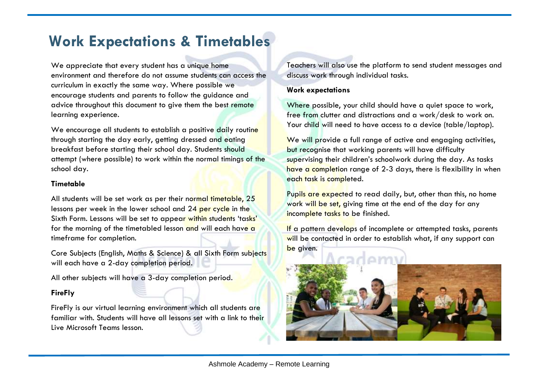# **Work Expectations & Timetables**

We appreciate that every student has a unique home environment and therefore do not assume students can access the curriculum in exactly the same way. Where possible we encourage students and parents to follow the guidance and advice throughout this document to give them the best remote learning experience.

We encourage all students to establish a positive daily routine through starting the day early, getting dressed and eating breakfast before starting their school day. Students should attempt (where possible) to work within the normal timings of the school day.

### **Timetable**

All students will be set work as per their normal timetable, 25 lessons per week in the lower school and 24 per cycle in the Sixth Form. Lessons will be set to appear within students 'tasks' for the morning of the timetabled lesson and will each have a timeframe for completion.

Core Subjects (English, Maths & Science) & all Sixth Form subjects will each have a 2-day completion period.

All other subjects will have a 3-day completion period.

### **FireFly**

FireFly is our virtual learning environment which all students are familiar with. Students will have all lessons set with a link to their Live Microsoft Teams lesson.

Teachers will also use the platform to send student messages and discuss work through individual tasks.

### **Work expectations**

Where possible, your child should have a quiet space to work, free from clutter and distractions and a work/desk to work on. Your child will need to have access to a device (table/laptop).

We will provide a full range of active and engaging activities, but recognise that working parents will have difficulty supervising their children's schoolwork during the day. As tasks have a completion range of 2-3 days, there is flexibility in when each task is completed.

Pupils are expected to read daily, but, other than this, no home work will be set, giving time at the end of the day for any incomplete tasks to be finished.

If a pattern develops of incomplete or attempted tasks, parents will be contacted in order to establish what, if any support can be given.

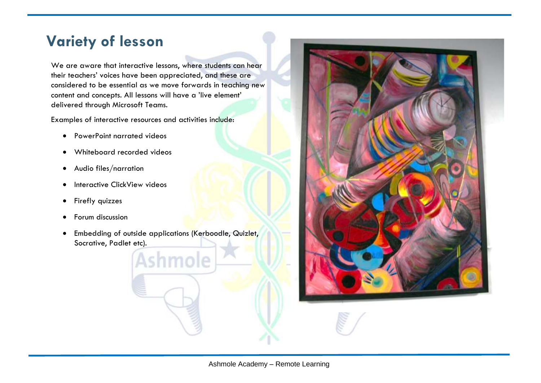# **Variety of lesson**

We are aware that interactive lessons, where students can hear their teachers' voices have been appreciated, and these are considered to be essential as we move forwards in teaching new content and concepts. All lessons will have a 'live element' delivered through Microsoft Teams.

Examples of interactive resources and activities include:

- PowerPoint narrated videos
- Whiteboard recorded videos
- Audio files/narration
- Interactive ClickView videos
- Firefly quizzes
- Forum discussion
- Embedding of outside applications (Kerboodle, Quizlet, Socrative, Padlet etc).

Ashmole

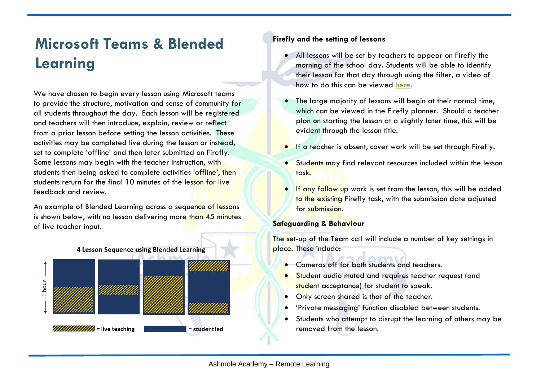# **Microsoft Teams & Blended Learning**

We have chosen to begin every lesson using Microsoft teams to provide the structure, motivation and sense of community for all students throughout the day. Each lesson will be registered and teachers will then introduce, explain, review or reflect from a prior lesson before setting the lesson activities. These activities may be completed live during the lesson or instead, set to complete 'offline' and then later submitted on Firefly. Some lessons may begin with the teacher instruction, with students then being asked to complete activities 'offline', then students return for the final 10 minutes of the lesson for live feedback and review.

An example of Blended Learning across a sequence of lessons is shown below, with no lesson delivering more than 45 minutes of live teacher input.



### **Firefly and the setting of lessons**

- All lessons will be set by teachers to appear on Firefly the morning of the school day. Students will be able to identify their lesson for that day through using the filter, a video of how to do this can be viewed [here.](https://ashmole.fireflycloud.net/microsoft-teams)
- The large majority of lessons will begin at their normal time, which can be viewed in the Firefly planner. Should a teacher plan on starting the lesson at a slightly later time, this will be evident through the lesson title.
- If a teacher is absent, cover work will be set through Firefly.
- Students may find relevant resources included within the lesson task.
- **If any follow up** work is set from the lesson, this will be added to the existing Firefly task, with the submission date adjusted for submission.

### **Safeguarding & Behaviour**

The set-up of the Team call will include a number of key settings in place. These include:

- **•** Cameras off for both students and teachers.
- **•** Student audio muted and requires teacher request (and student acceptance) for student to speak.
- Only screen shared is that of the teacher.
- 'Private messaging' function disabled between students.
- Students who attempt to disrupt the learning of others may be removed from the lesson.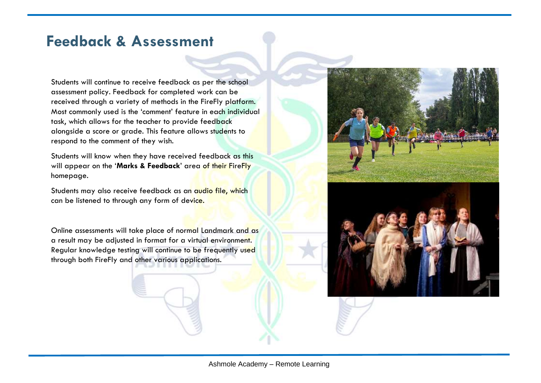# **Feedback & Assessment**

Students will continue to receive feedback as per the school assessment policy. Feedback for completed work can be received through a variety of methods in the FireFly platform. Most commonly used is the 'comment' feature in each individual task, which allows for the teacher to provide feedback alongside a score or grade. This feature allows students to respond to the comment of they wish.

Students will know when they have received feedback as this will appear on the '**Marks & Feedback**' area of their FireFly homepage.

Students may also receive feedback as an audio file, which can be listened to through any form of device.

Online assessments will take place of normal Landmark and as a result may be adjusted in format for a virtual environment. Regular knowledge testing will continue to be frequently used through both FireFly and other various applications.